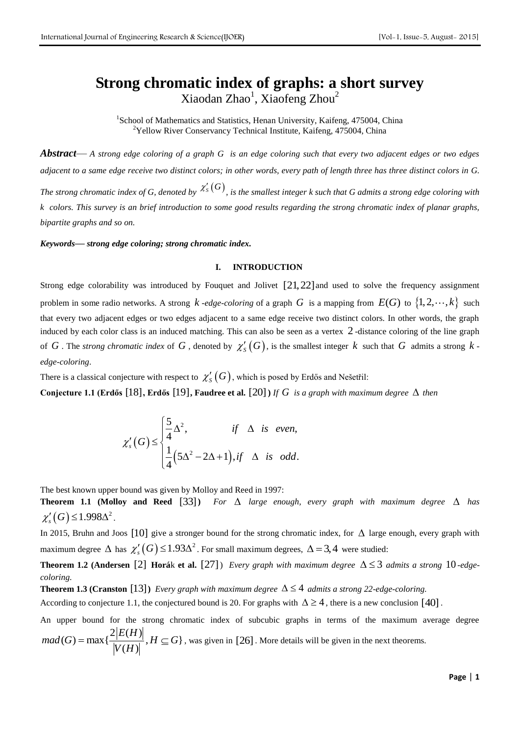# **Strong chromatic index of graphs: a short survey** Xiaodan Zhao<sup>1</sup>, Xiaofeng Zhou<sup>2</sup>

<sup>1</sup>School of Mathematics and Statistics, Henan University, Kaifeng, 475004, China  $2$ Yellow River Conservancy Technical Institute, Kaifeng, 475004, China

*Abstract*— *A strong edge coloring of a graph G is an edge coloring such that every two adjacent edges or two edges adjacent to a same edge receive two distinct colors; in other words, every path of length three has three distinct colors in G.*  The strong chromatic index of G, denoted by  $\mathcal{X}'_S(G)$ , is the smallest integer k such that G admits a strong edge coloring with *k colors. This survey is an brief introduction to some good results regarding the strong chromatic index of planar graphs, bipartite graphs and so on.* 

*Keywords***—** *strong edge coloring; strong chromatic index.*

## **I. INTRODUCTION**

Strong edge colorability was introduced by Fouquet and Jolivet  $[21, 22]$  and used to solve the frequency assignment problem in some radio networks. A strong  $k$  *-edge-coloring* of a graph G is a mapping from  $E(G)$  to  $\{1, 2, \dots, k\}$  such that every two adjacent edges or two edges adjacent to a same edge receive two distinct colors. In other words, the graph induced by each color class is an induced matching. This can also be seen as a vertex 2 -distance coloring of the line graph of  $G$  . The *strong chromatic index* of  $G$  , denoted by  $\chi'_S(G)$ , is the smallest integer  $k$  such that  $G$  admits a strong  $k$  *edge-coloring*.

There is a classical conjecture with respect to  $\ \chi_{S}'\left( G\right) ,$  which is posed by Erdős and Nešetřil:

**Conjecture 1.1 (Erdős** [18], Erdős [19], Faudree et al. [20]) If G is a graph with maximum degree  $\Delta$  then

$$
\chi'_{s}(G) \leq \begin{cases} \frac{5}{4} \Delta^{2}, & \text{if } \Delta \text{ is even,} \\ \frac{1}{4} (5\Delta^{2} - 2\Delta + 1), \text{if } \Delta \text{ is odd.} \end{cases}
$$

The best known upper bound was given by Molloy and Reed in 1997:

**Theorem 1.1 (Molloy and Reed** [33]) For  $\Delta$  large enough, every graph with maximum degree  $\Delta$  has  $\chi'_{s}(G) \leq 1.998\Delta^{2}$ .

In 2015, Bruhn and Joos [10] give a stronger bound for the strong chromatic index, for  $\Delta$  large enough, every graph with maximum degree  $\Delta$  has  $\chi'_{s}(G) \leq 1.93\Delta^2$ . For small maximum degrees,  $\Delta = 3.4$  were studied:

**Theorem 1.2 (Andersen** [2] **Horá**k et al. [27]) *Every graph with maximum degree*  $\Delta \leq 3$  *admits a strong* 10-edge*coloring.*

**Theorem 1.3 (Cranston** [13]) *Every graph with maximum degree*  $\Delta \leq 4$  *admits a strong 22-edge-coloring.* 

According to conjecture 1.1, the conjectured bound is 20. For graphs with  $\Delta \ge 4$ , there is a new conclusion [40].

An upper bound for the strong chromatic index of subcubic graphs in terms of the maximum average degree for the  $2|E(H)$  $(G) = \max\{\frac{2|E(H)|}{|V(H)|}, H \subseteq G\}$  $\frac{c(H)}{(H)}$ *E H*  $mad(G) = max\{\frac{2|E(H)|}{|V(H)|}, H \subseteq G\}$  $\frac{V|E(I)}{V(H)}$  $=\max\{\frac{2|E(H)|}{|V(H)|}, H\subseteq G\}$ , was given in [26]. More details will be given in the next theorems.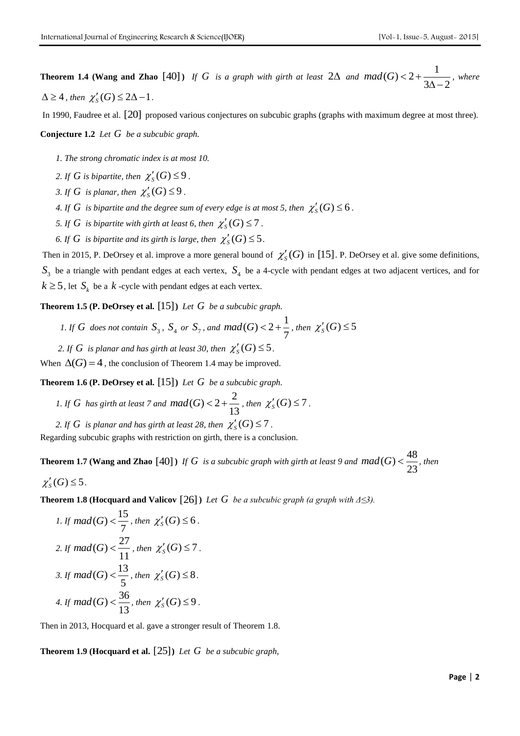In 1990, Faudree et al. [20] proposed various conjectures on subcubic graphs (graphs with maximum degree at most three).

**Conjecture 1.2** *Let G be a subcubic graph.*

- *1. The strong chromatic index is at most 10.*
- 2. If G is bipartite, then  $\chi'_{S}(G) \leq 9$ .
- 3. If G is planar, then  $\chi'_{S}(G) \leq 9$ .
- 4. If  $G$  is bipartite and the degree sum of every edge is at most 5, then  $\chi'_{S}(G) \leq 6$ .
- *5.* If  $G$  is bipartite with girth at least 6, then  $\chi'_{S}(G) \leq 7$ .
- 6. If G is bipartite and its girth is large, then  $\chi'_{S}(G) \leq 5$ .

Then in 2015, P. DeOrsey et al. improve a more general bound of  $\chi'_{S}(G)$  in [15]. P. DeOrsey et al. give some definitions,  $S_3$  be a triangle with pendant edges at each vertex,  $S_4$  be a 4-cycle with pendant edges at two adjacent vertices, and for  $k \geq 5$ , let  $S_k$  be a  $k$  -cycle with pendant edges at each vertex.

**Theorem 1.5 (P. DeOrsey et al.**  [15] **)** *Let G be a subcubic graph.*

- *1. If G* does not contain  $S_3$ ,  $S_4$  or  $S_7$ , and  $mad(G) < 2 + \frac{1}{7}$ 7  $mod(G) < 2 + \frac{1}{7}$ , then  $\chi'_{S}(G) \leq 5$
- 2. If G is planar and has girth at least 30, then  $\chi'_{S}(G) \leq 5$ .

When  $\Delta(G) = 4$ , the conclusion of Theorem 1.4 may be improved.

**Theorem 1.6 (P. DeOrsey et al.**  [15] **)** *Let G be a subcubic graph.*

- *I.* If G has girth at least 7 and  $\text{mad}(G) < 2 + \frac{2}{\sqrt{2}}$ 13  $\text{mad}(G) < 2 + \frac{2}{12}$ , then  $\chi'_{S}(G) \leq 7$ .
- 2. If G is planar and has girth at least 28, then  $\chi'_{S}(G) \leq 7$ .

Regarding subcubic graphs with restriction on girth, there is a conclusion.

**Theorem 1.7 (Wang and Zhao** [40]) If G is a subcubic graph with girth at least 9 and  $mad(G) < \frac{48}{20}$ 23  $mod(G)<\frac{10}{20}$ , then  $\chi'_{S}(G) \leq 5$ .

**Theorem 1.8 (Hocquard and Valicov**  $[26]$ ) *Let G be a subcubic graph (a graph with*  $\Delta \leq 3$ ).

1. If 
$$
mad(G) < \frac{15}{7}
$$
, then  $\chi'_{S}(G) \leq 6$ .

\n2. If  $mad(G) < \frac{27}{11}$ , then  $\chi'_{S}(G) \leq 7$ .

\n3. If  $mad(G) < \frac{13}{5}$ , then  $\chi'_{S}(G) \leq 8$ .

\n4. If  $mad(G) < \frac{36}{13}$ , then  $\chi'_{S}(G) \leq 9$ .

Then in 2013, Hocquard et al. gave a stronger result of Theorem 1.8.

**Theorem 1.9 (Hocquard et al.**  [25] **)** *Let G be a subcubic graph,*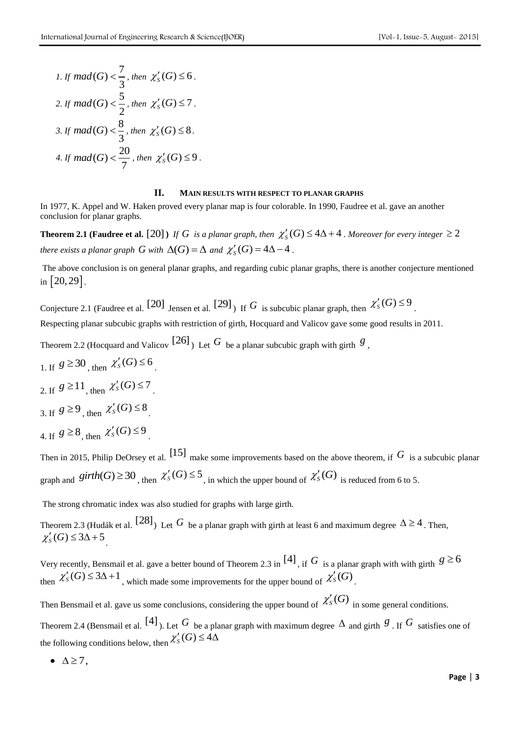\n- 1. If 
$$
mad(G) < \frac{7}{3}
$$
, then  $\chi'_{S}(G) \leq 6$ .
\n- 2. If  $mad(G) < \frac{5}{2}$ , then  $\chi'_{S}(G) \leq 7$ .
\n- 3. If  $mad(G) < \frac{8}{3}$ , then  $\chi'_{S}(G) \leq 8$ .
\n- 4. If  $mad(G) < \frac{20}{7}$ , then  $\chi'_{S}(G) \leq 9$ .
\n

#### **II. MAIN RESULTS WITH RESPECT TO PLANAR GRAPHS**

In 1977, K. Appel and W. Haken proved every planar map is four colorable. In 1990, Faudree et al. gave an another conclusion for planar graphs.

**Theorem 2.1 (Faudree et al.** [20]) If G is a planar graph, then  $\chi'_{S}(G) \leq 4\Delta + 4$  . Moreover for every integer  $\geq 2$ *there exists a planar graph G with*  $\Delta(G) = \Delta$  *and*  $\chi'_{S}(G) = 4\Delta - 4$ .

The above conclusion is on general planar graphs, and regarding cubic planar graphs, there is another conjecture mentioned in  $\lfloor 20, 29 \rfloor$ .

Conjecture 2.1 (Faudree et al. [20] Jensen et al. [29]  $\mu$  If G is subcubic planar graph, then  $\chi'_{S}(G) \leq 9$ .

Respecting planar subcubic graphs with restriction of girth, Hocquard and Valicov gave some good results in 2011.

Theorem 2.2 (Hocquard and Valicov  $[26]$ ) Let  $G$  be a planar subcubic graph with girth  $g$ ,

1. If  $g \ge 30$ , then  $\chi'_{s}(G) \le 6$ . 2. If  $g \ge 11$ , then  $\chi'_{s}(G) \le 7$ . 3. If  $g \ge 9$ , then  $\chi'_{s}(G) \le 8$ . 4. If  $g \ge 8$ , then  $\chi'_{s}(G) \le 9$ .

Then in 2015, Philip DeOrsey et al.  $[15]$  make some improvements based on the above theorem, if  $G$  is a subcubic planar graph and  $girth(G) \ge 30$ , then  $\chi'_{S}(G) \le 5$ , in which the upper bound of  $\chi'_{S}(G)$  is reduced from 6 to 5.

The strong chromatic index was also studied for graphs with large girth.

Theorem 2.3 (Hudák et al.  $[28]$ ) Let  $G$  be a planar graph with girth at least 6 and maximum degree  $\Delta \ge 4$ . Then,  $\chi'_{S}(G) \leq 3\Delta + 5$ .

Very recently, Bensmail et al. gave a better bound of Theorem 2.3 in <sup>[4]</sup>, if  $G$  is a planar graph with with girth  $g \ge 6$ then  $\chi'_{S}(G) \leq 3\Delta + 1$ , which made some improvements for the upper bound of  $\chi'_{S}(G)$ .

Then Bensmail et al. gave us some conclusions, considering the upper bound of  $\mathcal{X}'_S(G)$  in some general conditions.

Theorem 2.4 (Bensmail et al.  $[4]$ ). Let  $G$  be a planar graph with maximum degree  $\Delta$  and girth  $g$ . If  $G$  satisfies one of the following conditions below, then  $\chi'_{S}(G) \leq 4\Delta$ 

 $\bullet$   $\Delta \geq 7$ ,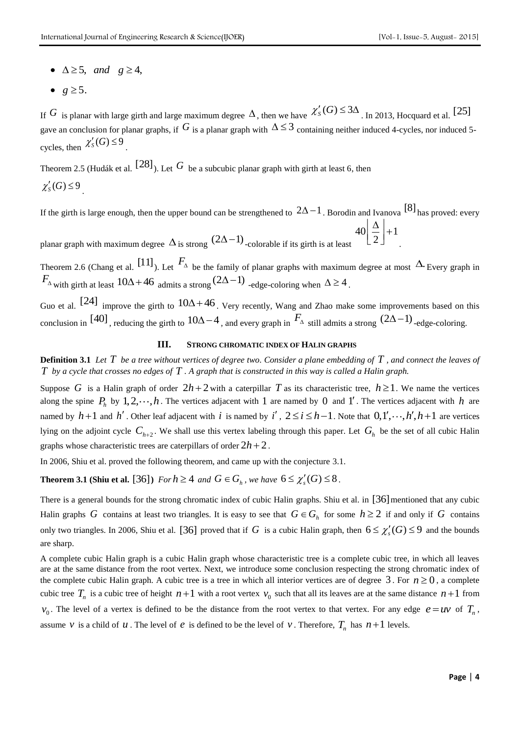- $\Delta \geq 5$ , and  $g \geq 4$ ,
- $g \geq 5$ .

If G is planar with large girth and large maximum degree  $\Delta$ , then we have  $\chi'_{S}(G) \leq 3\Delta$ . In 2013, Hocquard et al. [25] gave an conclusion for planar graphs, if  $G$  is a planar graph with  $\Delta \leq 3$  containing neither induced 4-cycles, nor induced 5cycles, then  $\chi'_{S}(G) \leq 9$ .

Theorem 2.5 (Hudák et al.  $[28]$ ). Let  $G$  be a subcubic planar graph with girth at least 6, then  $\chi'_{S}(G) \leq 9$ .

If the girth is large enough, then the upper bound can be strengthened to  $2\Delta-1$  . Borodin and Ivanova  $[8]$  has proved: every  $|40| \frac{1}{2}| + 1$  $\left\lfloor \frac{\Delta}{2} \right\rfloor + 1$ 

planar graph with maximum degree  $\Delta$  is strong  $(2\Delta-1)$  -colorable if its girth is at least 2

Theorem 2.6 (Chang et al.  $[11]$ ). Let  $F_{\scriptscriptstyle{\Delta}}$  be the family of planar graphs with maximum degree at most  $\Delta$  Every graph in  $F_{\Delta}$  with girth at least  $10\Delta + 46$  admits a strong  $(2\Delta - 1)$  -edge-coloring when  $\Delta \ge 4$ .

Guo et al. [24] improve the girth to  $10\Delta + 46$ . Very recently, Wang and Zhao make some improvements based on this conclusion in [40], reducing the girth to  $10\Delta - 4$ , and every graph in  $F_{\Delta}$  still admits a strong  $(2\Delta - 1)$ -edge-coloring.

## **III. STRONG CHROMATIC INDEX OF HALIN GRAPHS**

**Definition 3.1** Let  $T$  be a tree without vertices of degree two. Consider a plane embedding of  $T$ , and connect the leaves of  $T$  by a cycle that crosses no edges of  $T$  . A graph that is constructed in this way is called a Halin graph.

Suppose G is a Halin graph of order  $2h+2$  with a caterpillar T as its characteristic tree,  $h \ge 1$ . We name the vertices along the spine  $P_h$  by  $1, 2, \dots, h$ . The vertices adjacent with 1 are named by 0 and 1'. The vertices adjacent with h are named by  $h+1$  and  $h'$ . Other leaf adjacent with i is named by i',  $2 \le i \le h-1$ . Note that  $0,1', \dots, h', h+1$  are vertices lying on the adjoint cycle  $C_{h+2}$ . We shall use this vertex labeling through this paper. Let  $G_h$  be the set of all cubic Halin graphs whose characteristic trees are caterpillars of order  $2h + 2$ .

In 2006, Shiu et al. proved the following theorem, and came up with the conjecture 3.1.

**Theorem 3.1 (Shiu et al.** [36]) *For*  $h \geq 4$  *and*  $G \in G_h$ *, we have*  $6 \leq \chi_s'(G) \leq 8$ .

There is a general bounds for the strong chromatic index of cubic Halin graphs. Shiu et al. in [36] mentioned that any cubic Halin graphs G contains at least two triangles. It is easy to see that  $G \in G_h$  for some  $h \ge 2$  if and only if G contains only two triangles. In 2006, Shiu et al. [36] proved that if G is a cubic Halin graph, then  $6 \le \chi_s'(G) \le 9$  and the bounds are sharp.

A complete cubic Halin graph is a cubic Halin graph whose characteristic tree is a complete cubic tree, in which all leaves are at the same distance from the root vertex. Next, we introduce some conclusion respecting the strong chromatic index of the complete cubic Halin graph. A cubic tree is a tree in which all interior vertices are of degree  $3$ . For  $n \ge 0$ , a complete cubic tree  $T_n$  is a cubic tree of height  $n+1$  with a root vertex  $v_0$  such that all its leaves are at the same distance  $n+1$  from  $v_0$ . The level of a vertex is defined to be the distance from the root vertex to that vertex. For any edge  $e = uv$  of  $T_n$ , assume v is a child of u. The level of e is defined to be the level of v. Therefore,  $T_n$  has  $n+1$  levels.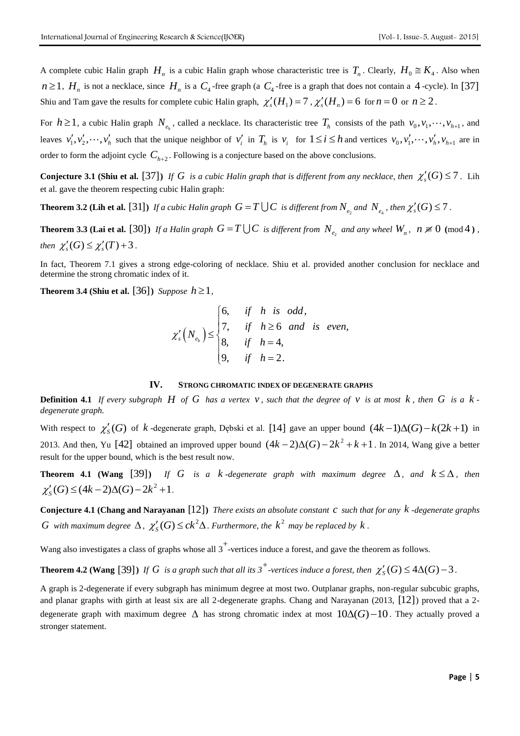A complete cubic Halin graph  $H_n$  is a cubic Halin graph whose characteristic tree is  $T_n$ . Clearly,  $H_0 \cong K_4$ . Also when  $n \ge 1$ ,  $H_n$  is not a necklace, since  $H_n$  is a  $C_4$ -free graph (a  $C_4$ -free is a graph that does not contain a 4-cycle). In [37] Shiu and Tam gave the results for complete cubic Halin graph,  $\chi'_{s}(H_1) = 7$ ,  $\chi'_{s}(H_n) = 6$  for  $n = 0$  or  $n \ge 2$ .

For  $h \ge 1$ , a cubic Halin graph  $N_{e_h}$ , called a necklace. Its characteristic tree  $T_h$  consists of the path  $v_0, v_1, \dots, v_{h+1}$ , and leaves  $v'_1, v'_2, \dots, v'_h$  such that the unique neighbor of  $v'_i$  in  $T_h$  is  $v_i$  for  $1 \le i \le h$  and vertices  $v_0, v'_1, \dots, v'_h, v_{h+1}$  are in order to form the adjoint cycle  $C_{h+2}$ . Following is a conjecture based on the above conclusions.

**Conjecture 3.1 (Shiu et al.** [37]) If G is a cubic Halin graph that is different from any necklace, then  $\chi_s'(G) \leq 7$ . Lih et al. gave the theorem respecting cubic Halin graph:

**Theorem 3.2 (Lih et al.** [31]) If a cubic Halin graph  $G = T \cup C$  is different from  $N_{e_2}$  and  $N_{e_4}$ , then  $\chi_s'(G) \leq 7$ .

**Theorem 3.3 (Lai et al.** [30]) If a Halin graph  $G = T \cup C$  is different from  $N_{e_2}$  and any wheel  $W_n$ ,  $n \neq 0 \pmod{4}$ , *then*  $\chi'_{s}(G) \leq \chi'_{s}(T) + 3$ .

In fact, Theorem 7.1 gives a strong edge-coloring of necklace. Shiu et al. provided another conclusion for necklace and determine the strong chromatic index of it.

**Theorem 3.4 (Shiu et al.** [36]) *Suppose*  $h \geq 1$ *,* 

pose 
$$
n \ge 1
$$
,  
\n
$$
\chi_s'(N_{e_h}) \le \begin{cases}\n6, & \text{if } h \text{ is odd,} \\
7, & \text{if } h \ge 6 \text{ and is even,} \\
8, & \text{if } h = 4, \\
9, & \text{if } h = 2.\n\end{cases}
$$

#### **IV. STRONG CHROMATIC INDEX OF DEGENERATE GRAPHS**

**Definition 4.1** If every subgraph H of G has a vertex  $v$ , such that the degree of  $v$  is at most  $k$ , then G is a  $k$ *degenerate graph.* 

With respect to  $\chi'_{S}(G)$  of  $k$ -degenerate graph, Dębski et al. [14] gave an upper bound  $(4k-1)\Delta(G)-k(2k+1)$  in 2013. And then, Yu [42] obtained an improved upper bound  $(4k-2)\Delta(G)-2k^2+k+1$ . In 2014, Wang give a better result for the upper bound, which is the best result now.

**Theorem 4.1 (Wang [39])** If G is a k-degenerate graph with maximum degree  $\Delta$ , and  $k \leq \Delta$ , then 2 Find Find 1.1 (wang [59]) *If* G<br>  $\chi'_{S}(G) \leq (4k-2)\Delta(G) - 2k^2 + 1$ .

**Conjecture 4.1 (Chang and Narayanan**  [12] **)** *There exists an absolute constant c such that for any k -degenerate graphs G* with maximum degree  $\Delta$ ,  $\chi'_{S}(G) \leq ck^2\Delta$ . Furthermore, the  $k^2$  may be replaced by  $k$ .

Wang also investigates a class of graphs whose all 3<sup>+</sup>-vertices induce a forest, and gave the theorem as follows.

**Theorem 4.2 (Wang** [39]) If G is a graph such that all its  $3^+$ -vertices induce a forest, then  $\chi'_{S}(G) \leq 4\Delta(G) - 3$ .

A graph is 2-degenerate if every subgraph has minimum degree at most two. Outplanar graphs, non-regular subcubic graphs, and planar graphs with girth at least six are all 2-degenerate graphs. Chang and Narayanan (2013, [12]) proved that a 2degenerate graph with maximum degree  $\Delta$  has strong chromatic index at most  $10\Delta(G) - 10$ . They actually proved a stronger statement.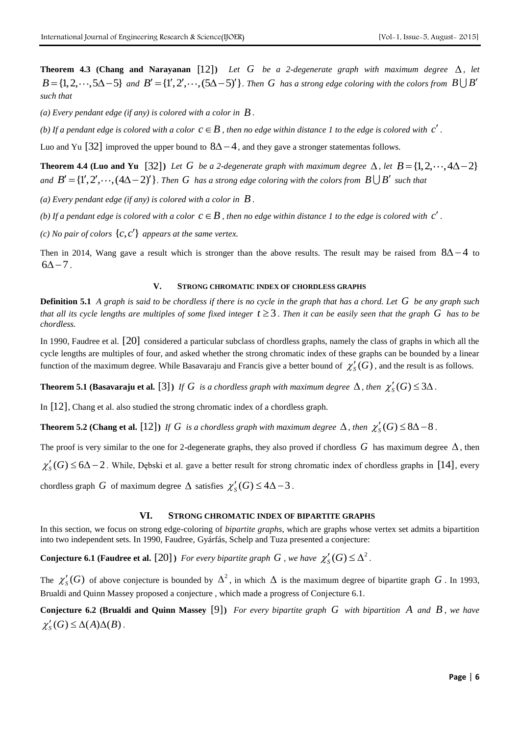**Theorem 4.3 (Chang and Narayanan** [12]) Let  $G$  be a 2-degenerate graph with maximum degree  $\Delta$ , let  $B = \{1, 2, \dots, 5\Delta - 5\}$  and  $B' = \{1', 2', \dots, (5\Delta - 5)'\}$ . Then G has a strong edge coloring with the colors from  $B \cup B'$ *such that*

(a) Every pendant edge (if any) is colored with a color in  $\hat{B}$  .

*(b)* If a pendant edge is colored with a color  $c \in B$  , then no edge within distance 1 to the edge is colored with  $c'$ .

Luo and Yu [32] improved the upper bound to  $8\Delta - 4$ , and they gave a stronger statementas follows.

**Theorem 4.4 (Luo and Yu** [32]) Let G be a 2-degenerate graph with maximum degree  $\Delta$ , let  $B = \{1, 2, \dots, 4\Delta - 2\}$ *and*  $B' = \{1', 2', \dots, (4\Delta - 2)'\}$ . Then G has a strong edge coloring with the colors from  $B \cup B'$  such that

(a) Every pendant edge (if any) is colored with a color in  $\hat{B}$  .

(b) If a pendant edge is colored with a color  $c \in B$  , then no edge within distance 1 to the edge is colored with  $c'$  .

*(c)* No pair of colors  $\{c, c'\}$  appears at the same vertex.

Then in 2014, Wang gave a result which is stronger than the above results. The result may be raised from  $8\Delta - 4$  to  $6\Delta - 7$ .

# **V. STRONG CHROMATIC INDEX OF CHORDLESS GRAPHS**

**Definition 5.1** *A graph is said to be chordless if there is no cycle in the graph that has a chord. Let G be any graph such*  that all its cycle lengths are multiples of some fixed integer  $t \geq 3$  . Then it can be easily seen that the graph  $G$  has to be *chordless.* 

In 1990, Faudree et al. [20] considered a particular subclass of chordless graphs, namely the class of graphs in which all the cycle lengths are multiples of four, and asked whether the strong chromatic index of these graphs can be bounded by a linear function of the maximum degree. While Basavaraju and Francis give a better bound of  $\chi'_{S}(G)$ , and the result is as follows.

**Theorem 5.1 (Basavaraju et al.** [3]) If G is a chordless graph with maximum degree  $\Delta$ , then  $\chi'_{S}(G) \leq 3\Delta$ .

In [12] , Chang et al. also studied the strong chromatic index of a chordless graph.

**Theorem 5.2 (Chang et al.** [12]) If G is a chordless graph with maximum degree  $\Delta$ , then  $\chi'_{S}(G) \leq 8\Delta - 8$ .

The proof is very similar to the one for 2-degenerate graphs, they also proved if chordless  $G$  has maximum degree  $\Delta$ , then

 $\chi'_{S}(G) \leq 6\Delta - 2$ . While, Dębski et al. gave a better result for strong chromatic index of chordless graphs in [14], every

chordless graph G of maximum degree  $\Delta$  satisfies  $\chi'_{S}(G) \leq 4\Delta - 3$ .

# **VI. STRONG CHROMATIC INDEX OF BIPARTITE GRAPHS**

In this section, we focus on strong edge-coloring of *bipartite graphs*, which are graphs whose vertex set admits a bipartition into two independent sets. In 1990, Faudree, Gyárfás, Schelp and Tuza presented a conjecture:

**Conjecture 6.1 (Faudree et al.** [20] *) For every bipartite graph G*, we have  $\chi'_{S}(G) \leq \Delta^2$ .

The  $\chi'_{S}(G)$  of above conjecture is bounded by  $\Delta^2$ , in which  $\Delta$  is the maximum degree of bipartite graph G. In 1993, Brualdi and Quinn Massey proposed a conjecture , which made a progress of Conjecture 6.1.

**Conjecture 6.2 (Brualdi and Quinn Massey**  [9] **)** *For every bipartite graph G with bipartition A and B , we have*   $\chi'_{S}(G) \leq \Delta(A)\Delta(B)$ .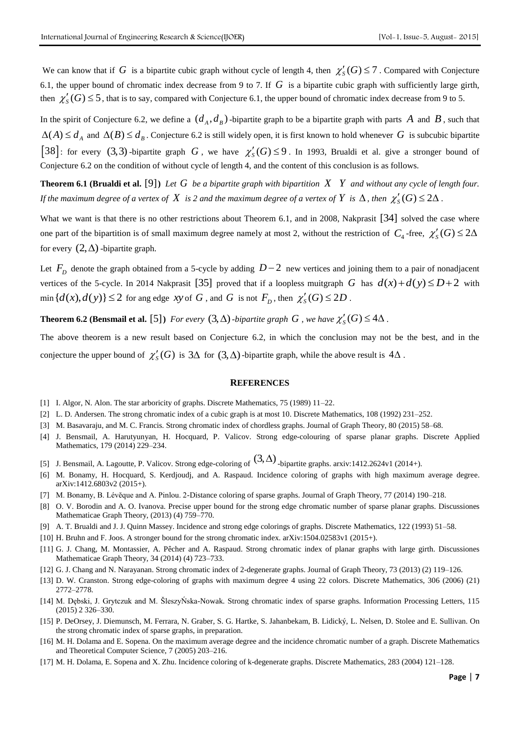We can know that if G is a bipartite cubic graph without cycle of length 4, then  $\chi'_{S}(G) \leq 7$ . Compared with Conjecture 6.1, the upper bound of chromatic index decrease from 9 to 7. If  $G$  is a bipartite cubic graph with sufficiently large girth, then  $\chi'_{S}(G) \leq 5$ , that is to say, compared with Conjecture 6.1, the upper bound of chromatic index decrease from 9 to 5.

In the spirit of Conjecture 6.2, we define a  $(d_A, d_B)$ -bipartite graph to be a bipartite graph with parts A and B, such that  $\Delta(A) \le d_A$  and  $\Delta(B) \le d_B$ . Conjecture 6.2 is still widely open, it is first known to hold whenever G is subcubic bipartite [38]: for every (3,3)-bipartite graph G, we have  $\chi'_{S}(G) \leq 9$ . In 1993, Brualdi et al. give a stronger bound of Conjecture 6.2 on the condition of without cycle of length 4, and the content of this conclusion is as follows.

**Theorem 6.1 (Brualdi et al.** [9]) Let  $G$  be a bipartite graph with bipartition  $X$   $Y$  and without any cycle of length four. *If the maximum degree of a vertex of*  $X$  *is 2 and the maximum degree of a vertex of*  $Y$  *is*  $\Delta$ *, then*  $\chi'_{S}(G) \leq 2\Delta$ .

What we want is that there is no other restrictions about Theorem 6.1, and in 2008, Nakprasit [34] solved the case where one part of the bipartition is of small maximum degree namely at most 2, without the restriction of  $C_4$ -free,  $\chi'_{S}(G) \leq 2\Delta$ for every  $(2, \Delta)$  -bipartite graph.

Let  $F<sub>D</sub>$  denote the graph obtained from a 5-cycle by adding  $D-2$  new vertices and joining them to a pair of nonadjacent vertices of the 5-cycle. In 2014 Nakprasit [35] proved that if a loopless muitgraph G has  $d(x) + d(y) \le D + 2$  with  $\min\{d(x), d(y)\} \leq 2$  for ang edge *xy* of *G*, and *G* is not  $F_D$ , then  $\chi'_{S}(G) \leq 2D$ .

**Theorem 6.2 (Bensmail et al.** [5]) *For every*  $(3, \Delta)$ *-bipartite graph G*, we have  $\chi'_{S}(G) \leq 4\Delta$ .

The above theorem is a new result based on Conjecture 6.2, in which the conclusion may not be the best, and in the conjecture the upper bound of  $\chi'_{S}(G)$  is  $3\Delta$  for  $(3,\Delta)$ -bipartite graph, while the above result is  $4\Delta$ .

### **REFERENCES**

- [1] I. Algor, N. Alon. The star arboricity of graphs. Discrete Mathematics, 75 (1989) 11–22.
- [2] L. D. Andersen. The strong chromatic index of a cubic graph is at most 10. Discrete Mathematics, 108 (1992) 231–252.
- [3] M. Basavaraju, and M. C. Francis. Strong chromatic index of chordless graphs. Journal of Graph Theory, 80 (2015) 58–68.
- [4] J. Bensmail, A. Harutyunyan, H. Hocquard, P. Valicov. Strong edge-colouring of sparse planar graphs. Discrete Applied Mathematics, 179 (2014) 229–234.
- [5] J. Bensmail, A. Lagoutte, P. Valicov. Strong edge-coloring of  $(3,\Delta)$  -bipartite graphs. arxiv:1412.2624v1 (2014+).
- [6] M. Bonamy, H. Hocquard, S. Kerdjoudj, and A. Raspaud. Incidence coloring of graphs with high maximum average degree. arXiv:1412.6803v2 (2015+).
- [7] M. Bonamy, B. Lévĕque and A. Pinlou. 2-Distance coloring of sparse graphs. Journal of Graph Theory, 77 (2014) 190–218.
- [8] O. V. Borodin and A. O. Ivanova. Precise upper bound for the strong edge chromatic number of sparse planar graphs. Discussiones Mathematicae Graph Theory, (2013) (4) 759–770.
- [9] A. T. Brualdi and J. J. Quinn Massey. Incidence and strong edge colorings of graphs. Discrete Mathematics, 122 (1993) 51–58.
- [10] H. Bruhn and F. Joos. A stronger bound for the strong chromatic index. arXiv:1504.02583v1 (2015+).
- [11] G. J. Chang, M. Montassier, A. Pêcher and A. Raspaud. Strong chromatic index of planar graphs with large girth. Discussiones Mathematicae Graph Theory, 34 (2014) (4) 723–733.
- [12] G. J. Chang and N. Narayanan. Strong chromatic index of 2-degenerate graphs. Journal of Graph Theory, 73 (2013) (2) 119–126.
- [13] D. W. Cranston. Strong edge-coloring of graphs with maximum degree 4 using 22 colors. Discrete Mathematics, 306 (2006) (21) 2772–2778.
- [14] M. Dębski, J. Grytczuk and M. ŠleszyŃska-Nowak. Strong chromatic index of sparse graphs. Information Processing Letters, 115 (2015) 2 326–330.
- [15] P. DeOrsey, J. Diemunsch, M. Ferrara, N. Graber, S. G. Hartke, S. Jahanbekam, B. Lidický, L. Nelsen, D. Stolee and E. Sullivan. On the strong chromatic index of sparse graphs, in preparation.
- [16] M. H. Dolama and E. Sopena. On the maximum average degree and the incidence chromatic number of a graph. Discrete Mathematics and Theoretical Computer Science, 7 (2005) 203–216.
- [17] M. H. Dolama, E. Sopena and X. Zhu. Incidence coloring of k-degenerate graphs. Discrete Mathematics, 283 (2004) 121–128.